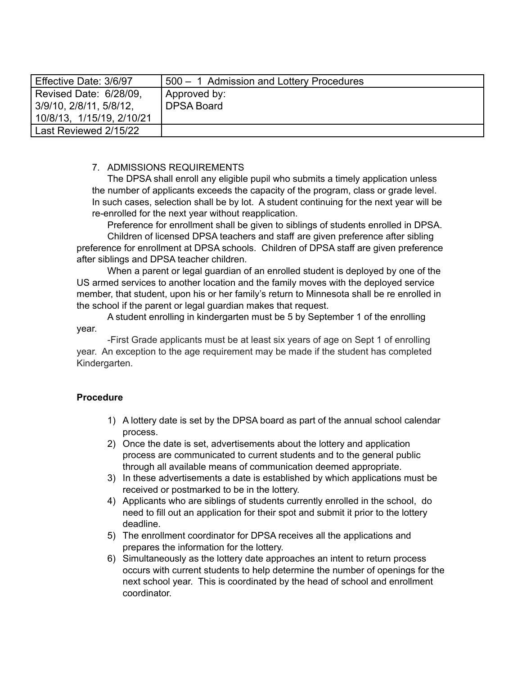| Effective Date: 3/6/97    | 500 - 1 Admission and Lottery Procedures |
|---------------------------|------------------------------------------|
| Revised Date: 6/28/09,    | Approved by:                             |
| 3/9/10, 2/8/11, 5/8/12,   | <b>DPSA Board</b>                        |
| 10/8/13, 1/15/19, 2/10/21 |                                          |
| Last Reviewed 2/15/22     |                                          |

## 7. ADMISSIONS REQUIREMENTS

The DPSA shall enroll any eligible pupil who submits a timely application unless the number of applicants exceeds the capacity of the program, class or grade level. In such cases, selection shall be by lot. A student continuing for the next year will be re-enrolled for the next year without reapplication.

Preference for enrollment shall be given to siblings of students enrolled in DPSA.

Children of licensed DPSA teachers and staff are given preference after sibling preference for enrollment at DPSA schools. Children of DPSA staff are given preference after siblings and DPSA teacher children.

When a parent or legal guardian of an enrolled student is deployed by one of the US armed services to another location and the family moves with the deployed service member, that student, upon his or her family's return to Minnesota shall be re enrolled in the school if the parent or legal guardian makes that request.

A student enrolling in kindergarten must be 5 by September 1 of the enrolling year.

-First Grade applicants must be at least six years of age on Sept 1 of enrolling year. An exception to the age requirement may be made if the student has completed Kindergarten.

## **Procedure**

- 1) A lottery date is set by the DPSA board as part of the annual school calendar process.
- 2) Once the date is set, advertisements about the lottery and application process are communicated to current students and to the general public through all available means of communication deemed appropriate.
- 3) In these advertisements a date is established by which applications must be received or postmarked to be in the lottery.
- 4) Applicants who are siblings of students currently enrolled in the school, do need to fill out an application for their spot and submit it prior to the lottery deadline.
- 5) The enrollment coordinator for DPSA receives all the applications and prepares the information for the lottery.
- 6) Simultaneously as the lottery date approaches an intent to return process occurs with current students to help determine the number of openings for the next school year. This is coordinated by the head of school and enrollment coordinator.